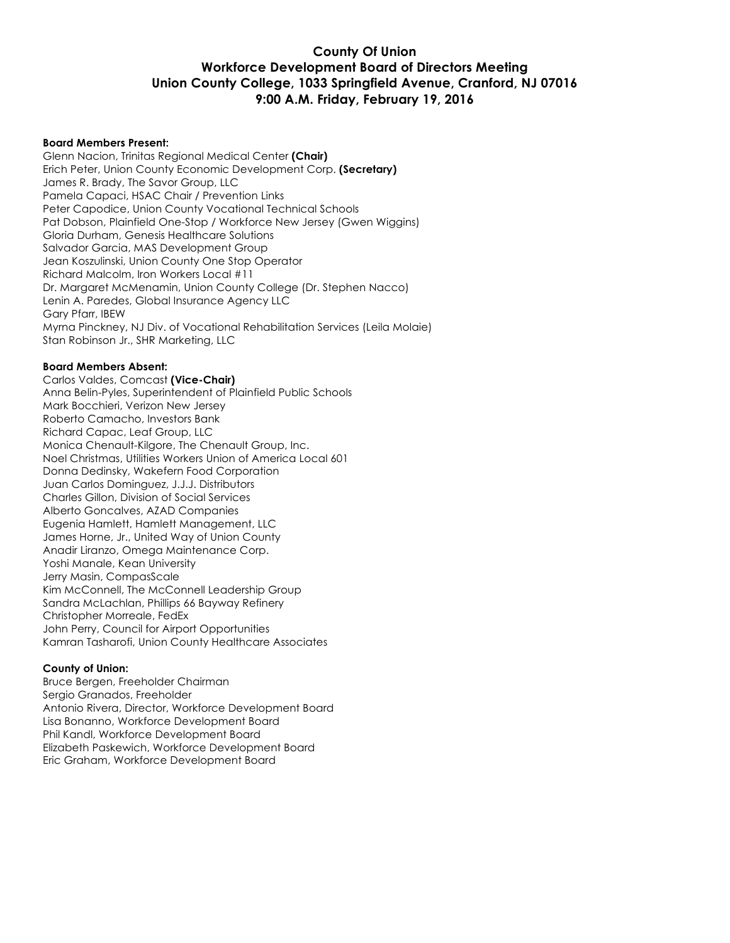# **County Of Union Workforce Development Board of Directors Meeting Union County College, 1033 Springfield Avenue, Cranford, NJ 07016 9:00 A.M. Friday, February 19, 2016**

#### **Board Members Present:**

Glenn Nacion, Trinitas Regional Medical Center **(Chair)** Erich Peter, Union County Economic Development Corp. **(Secretary)** James R. Brady, The Savor Group, LLC Pamela Capaci, HSAC Chair / Prevention Links Peter Capodice, Union County Vocational Technical Schools Pat Dobson, Plainfield One-Stop / Workforce New Jersey (Gwen Wiggins) Gloria Durham, Genesis Healthcare Solutions Salvador Garcia, MAS Development Group Jean Koszulinski, Union County One Stop Operator Richard Malcolm, Iron Workers Local #11 Dr. Margaret McMenamin, Union County College (Dr. Stephen Nacco) Lenin A. Paredes, Global Insurance Agency LLC Gary Pfarr, IBEW Myrna Pinckney, NJ Div. of Vocational Rehabilitation Services (Leila Molaie) Stan Robinson Jr., SHR Marketing, LLC

#### **Board Members Absent:**

Carlos Valdes, Comcast **(Vice-Chair)** Anna Belin-Pyles, Superintendent of Plainfield Public Schools Mark Bocchieri, Verizon New Jersey Roberto Camacho, Investors Bank Richard Capac, Leaf Group, LLC Monica Chenault-Kilgore, The Chenault Group, Inc. Noel Christmas, Utilities Workers Union of America Local 601 Donna Dedinsky, Wakefern Food Corporation Juan Carlos Dominguez, J.J.J. Distributors Charles Gillon, Division of Social Services Alberto Goncalves, AZAD Companies Eugenia Hamlett, Hamlett Management, LLC James Horne, Jr., United Way of Union County Anadir Liranzo, Omega Maintenance Corp. Yoshi Manale, Kean University Jerry Masin, CompasScale Kim McConnell, The McConnell Leadership Group Sandra McLachlan, Phillips 66 Bayway Refinery Christopher Morreale, FedEx John Perry, Council for Airport Opportunities Kamran Tasharofi, Union County Healthcare Associates

#### **County of Union:**

Bruce Bergen, Freeholder Chairman Sergio Granados, Freeholder Antonio Rivera, Director, Workforce Development Board Lisa Bonanno, Workforce Development Board Phil Kandl, Workforce Development Board Elizabeth Paskewich, Workforce Development Board Eric Graham, Workforce Development Board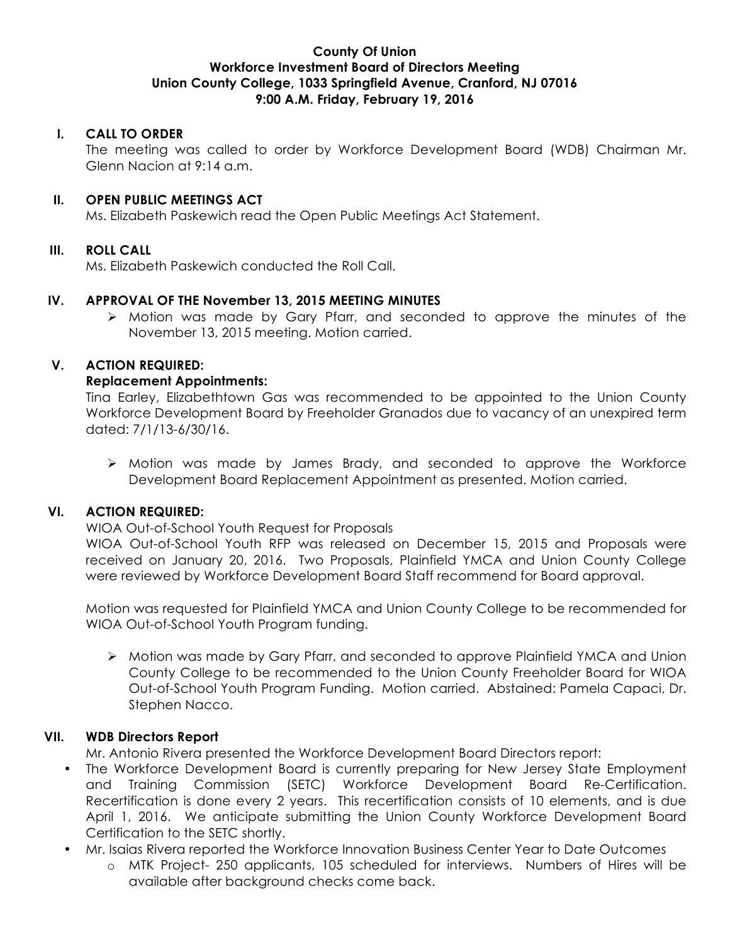# **County Of Union Workforce Investment Board of Directors Meeting Union County College, 1033 Springfield Avenue, Cranford, NJ 07016 9:00 A.M. Friday, February 19, 2016**

# **I. CALL TO ORDER**

The meeting was called to order by Workforce Development Board (WDB) Chairman Mr. Glenn Nacion at 9:14 a.m.

# **II. OPEN PUBLIC MEETINGS ACT**

Ms. Elizabeth Paskewich read the Open Public Meetings Act Statement.

# **III. ROLL CALL**

Ms. Elizabeth Paskewich conducted the Roll Call.

### **IV. APPROVAL OF THE November 13, 2015 MEETING MINUTES**

 $\triangleright$  Motion was made by Gary Pfarr, and seconded to approve the minutes of the November 13, 2015 meeting. Motion carried.

# **V. ACTION REQUIRED:**

### **Replacement Appointments:**

Tina Earley, Elizabethtown Gas was recommended to be appointed to the Union County Workforce Development Board by Freeholder Granados due to vacancy of an unexpired term dated: 7/1/13-6/30/16.

Ø Motion was made by James Brady, and seconded to approve the Workforce Development Board Replacement Appointment as presented. Motion carried.

### **VI. ACTION REQUIRED:**

#### WIOA Out-of-School Youth Request for Proposals

WIOA Out-of-School Youth RFP was released on December 15, 2015 and Proposals were received on January 20, 2016. Two Proposals, Plainfield YMCA and Union County College were reviewed by Workforce Development Board Staff recommend for Board approval.

Motion was requested for Plainfield YMCA and Union County College to be recommended for WIOA Out-of-School Youth Program funding.

Ø Motion was made by Gary Pfarr, and seconded to approve Plainfield YMCA and Union County College to be recommended to the Union County Freeholder Board for WIOA Out-of-School Youth Program Funding. Motion carried. Abstained: Pamela Capaci, Dr. Stephen Nacco.

# **VII. WDB Directors Report**

Mr. Antonio Rivera presented the Workforce Development Board Directors report:

- The Workforce Development Board is currently preparing for New Jersey State Employment and Training Commission (SETC) Workforce Development Board Re-Certification. Recertification is done every 2 years. This recertification consists of 10 elements, and is due April 1, 2016. We anticipate submitting the Union County Workforce Development Board Certification to the SETC shortly.
- Mr. Isaias Rivera reported the Workforce Innovation Business Center Year to Date Outcomes
	- o MTK Project- 250 applicants, 105 scheduled for interviews. Numbers of Hires will be available after background checks come back.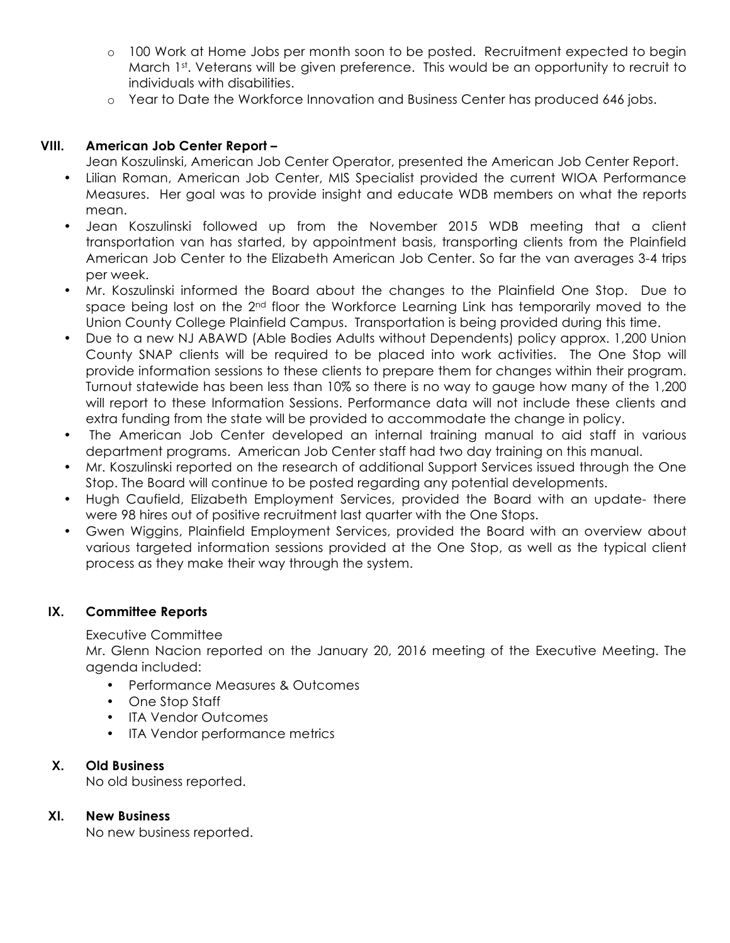- o 100 Work at Home Jobs per month soon to be posted. Recruitment expected to begin March 1<sup>st</sup>. Veterans will be given preference. This would be an opportunity to recruit to individuals with disabilities.
- o Year to Date the Workforce Innovation and Business Center has produced 646 jobs.

# **VIII. American Job Center Report –**

Jean Koszulinski, American Job Center Operator, presented the American Job Center Report.

- Lilian Roman, American Job Center, MIS Specialist provided the current WIOA Performance Measures. Her goal was to provide insight and educate WDB members on what the reports mean.
- Jean Koszulinski followed up from the November 2015 WDB meeting that a client transportation van has started, by appointment basis, transporting clients from the Plainfield American Job Center to the Elizabeth American Job Center. So far the van averages 3-4 trips per week.
- Mr. Koszulinski informed the Board about the changes to the Plainfield One Stop. Due to space being lost on the 2<sup>nd</sup> floor the Workforce Learning Link has temporarily moved to the Union County College Plainfield Campus. Transportation is being provided during this time.
- Due to a new NJ ABAWD (Able Bodies Adults without Dependents) policy approx. 1,200 Union County SNAP clients will be required to be placed into work activities. The One Stop will provide information sessions to these clients to prepare them for changes within their program. Turnout statewide has been less than 10% so there is no way to gauge how many of the 1,200 will report to these Information Sessions. Performance data will not include these clients and extra funding from the state will be provided to accommodate the change in policy.
- The American Job Center developed an internal training manual to aid staff in various department programs. American Job Center staff had two day training on this manual.
- Mr. Koszulinski reported on the research of additional Support Services issued through the One Stop. The Board will continue to be posted regarding any potential developments.
- Hugh Caufield, Elizabeth Employment Services, provided the Board with an update- there were 98 hires out of positive recruitment last quarter with the One Stops.
- Gwen Wiggins, Plainfield Employment Services, provided the Board with an overview about various targeted information sessions provided at the One Stop, as well as the typical client process as they make their way through the system.

# **IX. Committee Reports**

Executive Committee

Mr. Glenn Nacion reported on the January 20, 2016 meeting of the Executive Meeting. The agenda included:

- Performance Measures & Outcomes
- One Stop Staff
- ITA Vendor Outcomes
- ITA Vendor performance metrics

# **X. Old Business**

No old business reported.

# **XI. New Business**

No new business reported.